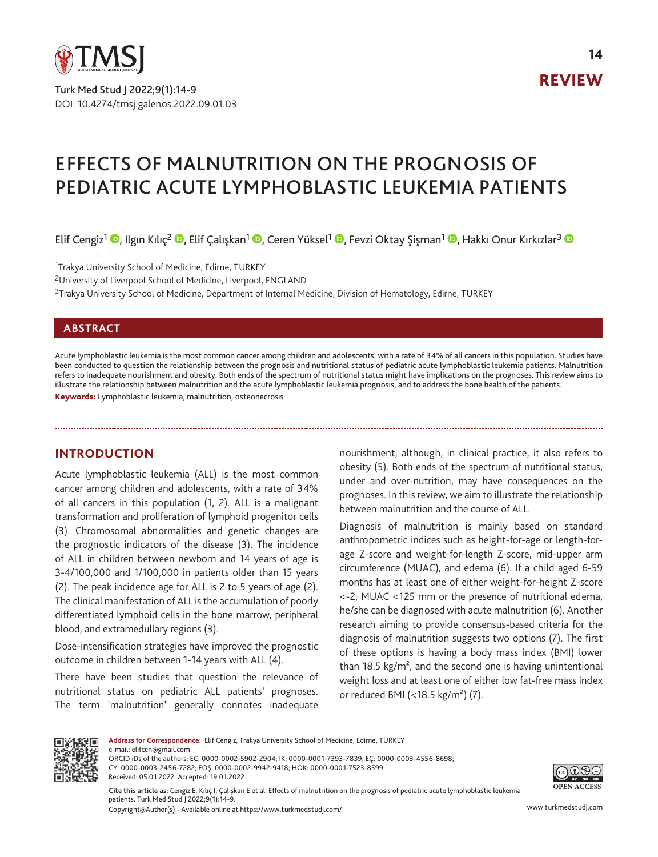

Turk Med Stud J 2022;9(1):14-9 DOI: 10.4274/tmsj.galenos.2022.09.01.03 REVIEW

# EFFECTS OF MALNUTRITION ON THE PROGNOSIS OF PEDIATRIC ACUTE LYMPHOBLASTIC LEUKEMIA PATIENTS

Elif Cengiz<sup>1</sup> <sup>(D</sup>[,](https://orcid.org/0000-0002-9942-9418) Ilgın Kılıç<sup>2</sup> <sup>(D</sup>, Elif Çalışkan<sup>1</sup> (D, Ceren Yüksel<sup>1</sup> (D, Fevzi Oktay Şişman<sup>1</sup> (D, Hakkı Onur Kırkızlar<sup>3</sup> (D

<sup>1</sup>Trakya University School of Medicine, Edirne, TURKEY

<sup>2</sup>University of Liverpool School of Medicine, Liverpool, ENGLAND

<sup>3</sup>Trakya University School of Medicine, Department of Internal Medicine, Division of Hematology, Edirne, TURKEY

## **ABSTRACT**

Acute lymphoblastic leukemia is the most common cancer among children and adolescents, with a rate of 34% of all cancers in this population. Studies have been conducted to question the relationship between the prognosis and nutritional status of pediatric acute lymphoblastic leukemia patients. Malnutrition refers to inadequate nourishment and obesity. Both ends of the spectrum of nutritional status might have implications on the prognoses. This review aims to illustrate the relationship between malnutrition and the acute lymphoblastic leukemia prognosis, and to address the bone health of the patients. Keywords: Lymphoblastic leukemia, malnutrition, osteonecrosis

# **INTRODUCTION**

Acute lymphoblastic leukemia (ALL) is the most common cancer among children and adolescents, with a rate of 34% of all cancers in this population (1, 2). ALL is a malignant transformation and proliferation of lymphoid progenitor cells (3). Chromosomal abnormalities and genetic changes are the prognostic indicators of the disease (3). The incidence of ALL in children between newborn and 14 years of age is 3-4/100,000 and 1/100,000 in patients older than 15 years (2). The peak incidence age for ALL is 2 to 5 years of age (2). The clinical manifestation of ALL is the accumulation of poorly differentiated lymphoid cells in the bone marrow, peripheral blood, and extramedullary regions (3).

Dose-intensification strategies have improved the prognostic outcome in children between 1-14 years with ALL (4).

There have been studies that question the relevance of nutritional status on pediatric ALL patients' prognoses. The term 'malnutrition' generally connotes inadequate nourishment, although, in clinical practice, it also refers to obesity (5). Both ends of the spectrum of nutritional status, under and over-nutrition, may have consequences on the prognoses. In this review, we aim to illustrate the relationship between malnutrition and the course of ALL.

Diagnosis of malnutrition is mainly based on standard anthropometric indices such as height-for-age or length-forage Z-score and weight-for-length Z-score, mid-upper arm circumference (MUAC), and edema (6). If a child aged 6-59 months has at least one of either weight-for-height Z-score <-2, MUAC <125 mm or the presence of nutritional edema, he/she can be diagnosed with acute malnutrition (6). Another research aiming to provide consensus-based criteria for the diagnosis of malnutrition suggests two options (7). The first of these options is having a body mass index (BMI) lower than 18.5 kg/ $m^2$ , and the second one is having unintentional weight loss and at least one of either low fat-free mass index or reduced BMI (<18.5 kg/m²) (7).



**Address for Correspondence:** Elif Cengiz, Trakya University School of Medicine, Edirne, TURKEY e-mail: elifcen@gmail.com ORCID iDs of the authors: EC: 0000-0002-5902-2904; IK: 0000-0001-7393-7839; EÇ: 0000-0003-4556-8698; CY: 0000-0003-2456-7282; FOŞ: 0000-0002-9942-9418; HOK: 0000-0001-7523-8599. Received: 05.01.2022 Accepted: 19.01.2022



@®® RY NC ND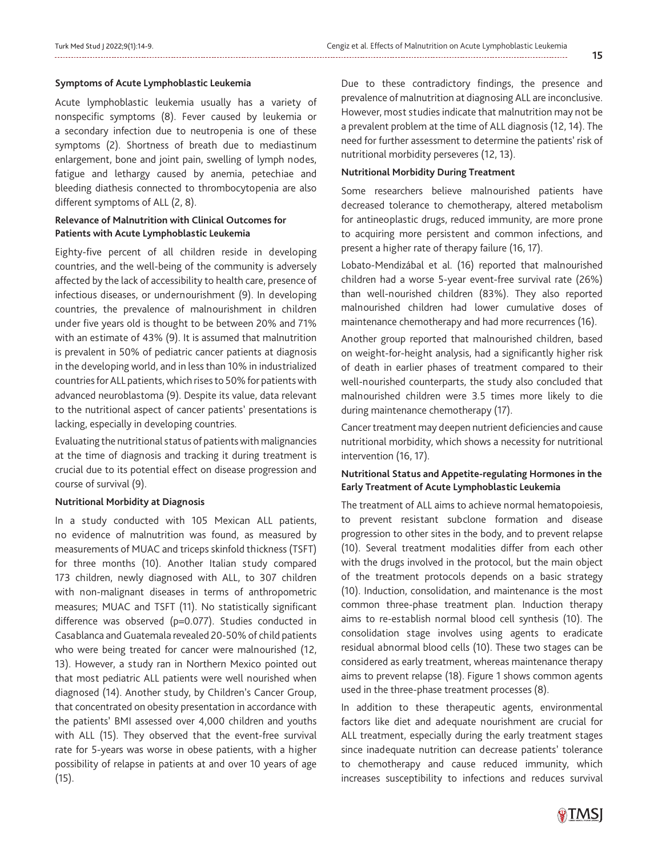#### **Symptoms of Acute Lymphoblastic Leukemia**

Acute lymphoblastic leukemia usually has a variety of nonspecific symptoms (8). Fever caused by leukemia or a secondary infection due to neutropenia is one of these symptoms (2). Shortness of breath due to mediastinum enlargement, bone and joint pain, swelling of lymph nodes, fatigue and lethargy caused by anemia, petechiae and bleeding diathesis connected to thrombocytopenia are also different symptoms of ALL (2, 8).

## **Relevance of Malnutrition with Clinical Outcomes for Patients with Acute Lymphoblastic Leukemia**

Eighty-five percent of all children reside in developing countries, and the well-being of the community is adversely affected by the lack of accessibility to health care, presence of infectious diseases, or undernourishment (9). In developing countries, the prevalence of malnourishment in children under five years old is thought to be between 20% and 71% with an estimate of 43% (9). It is assumed that malnutrition is prevalent in 50% of pediatric cancer patients at diagnosis in the developing world, and in less than 10% in industrialized countries for ALL patients, which rises to 50% for patients with advanced neuroblastoma (9). Despite its value, data relevant to the nutritional aspect of cancer patients' presentations is lacking, especially in developing countries.

Evaluating the nutritional status of patients with malignancies at the time of diagnosis and tracking it during treatment is crucial due to its potential effect on disease progression and course of survival (9).

#### **Nutritional Morbidity at Diagnosis**

In a study conducted with 105 Mexican ALL patients, no evidence of malnutrition was found, as measured by measurements of MUAC and triceps skinfold thickness (TSFT) for three months (10). Another Italian study compared 173 children, newly diagnosed with ALL, to 307 children with non-malignant diseases in terms of anthropometric measures; MUAC and TSFT (11). No statistically significant difference was observed (p=0.077). Studies conducted in Casablanca and Guatemala revealed 20-50% of child patients who were being treated for cancer were malnourished (12, 13). However, a study ran in Northern Mexico pointed out that most pediatric ALL patients were well nourished when diagnosed (14). Another study, by Children's Cancer Group, that concentrated on obesity presentation in accordance with the patients' BMI assessed over 4,000 children and youths with ALL (15). They observed that the event-free survival rate for 5-years was worse in obese patients, with a higher possibility of relapse in patients at and over 10 years of age (15).

Due to these contradictory findings, the presence and prevalence of malnutrition at diagnosing ALL are inconclusive. However, most studies indicate that malnutrition may not be a prevalent problem at the time of ALL diagnosis (12, 14). The need for further assessment to determine the patients' risk of nutritional morbidity perseveres (12, 13).

#### **Nutritional Morbidity During Treatment**

Some researchers believe malnourished patients have decreased tolerance to chemotherapy, altered metabolism for antineoplastic drugs, reduced immunity, are more prone to acquiring more persistent and common infections, and present a higher rate of therapy failure (16, 17).

Lobato-Mendizábal et al. (16) reported that malnourished children had a worse 5-year event-free survival rate (26%) than well-nourished children (83%). They also reported malnourished children had lower cumulative doses of maintenance chemotherapy and had more recurrences (16).

Another group reported that malnourished children, based on weight-for-height analysis, had a significantly higher risk of death in earlier phases of treatment compared to their well-nourished counterparts, the study also concluded that malnourished children were 3.5 times more likely to die during maintenance chemotherapy (17).

Cancer treatment may deepen nutrient deficiencies and cause nutritional morbidity, which shows a necessity for nutritional intervention (16, 17).

## **Nutritional Status and Appetite-regulating Hormones in the Early Treatment of Acute Lymphoblastic Leukemia**

The treatment of ALL aims to achieve normal hematopoiesis, to prevent resistant subclone formation and disease progression to other sites in the body, and to prevent relapse (10). Several treatment modalities differ from each other with the drugs involved in the protocol, but the main object of the treatment protocols depends on a basic strategy (10). Induction, consolidation, and maintenance is the most common three-phase treatment plan. Induction therapy aims to re-establish normal blood cell synthesis (10). The consolidation stage involves using agents to eradicate residual abnormal blood cells (10). These two stages can be considered as early treatment, whereas maintenance therapy aims to prevent relapse (18). Figure 1 shows common agents used in the three-phase treatment processes (8).

In addition to these therapeutic agents, environmental factors like diet and adequate nourishment are crucial for ALL treatment, especially during the early treatment stages since inadequate nutrition can decrease patients' tolerance to chemotherapy and cause reduced immunity, which increases susceptibility to infections and reduces survival

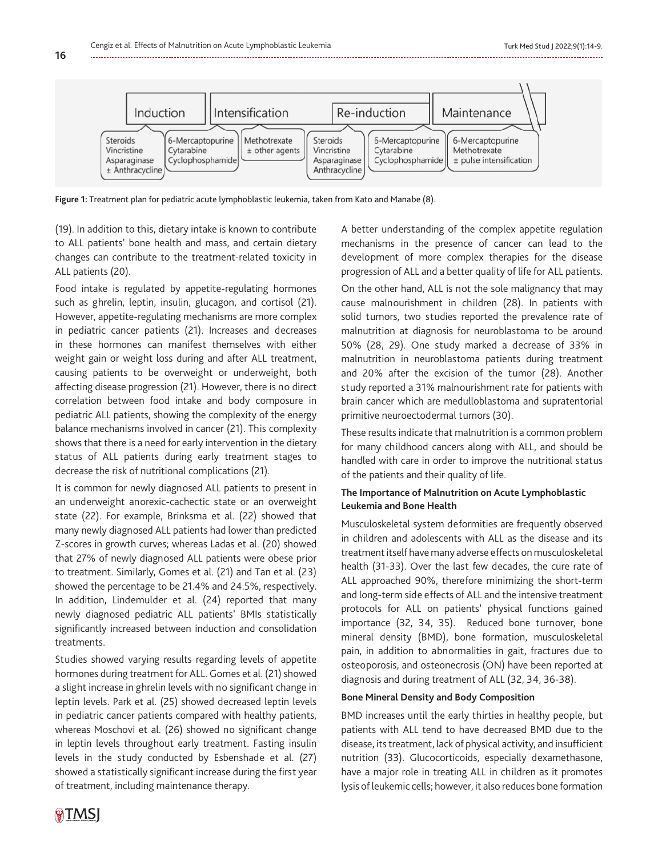

**Figure 1:** Treatment plan for pediatric acute lymphoblastic leukemia, taken from Kato and Manabe (8).

(19). In addition to this, dietary intake is known to contribute to ALL patients' bone health and mass, and certain dietary changes can contribute to the treatment-related toxicity in ALL patients (20).

Food intake is regulated by appetite-regulating hormones such as ghrelin, leptin, insulin, glucagon, and cortisol (21). However, appetite-regulating mechanisms are more complex in pediatric cancer patients (21). Increases and decreases in these hormones can manifest themselves with either weight gain or weight loss during and after ALL treatment, causing patients to be overweight or underweight, both affecting disease progression (21). However, there is no direct correlation between food intake and body composure in pediatric ALL patients, showing the complexity of the energy balance mechanisms involved in cancer (21). This complexity shows that there is a need for early intervention in the dietary status of ALL patients during early treatment stages to decrease the risk of nutritional complications (21).

It is common for newly diagnosed ALL patients to present in an underweight anorexic-cachectic state or an overweight state (22). For example, Brinksma et al. (22) showed that many newly diagnosed ALL patients had lower than predicted Z-scores in growth curves; whereas Ladas et al. (20) showed that 27% of newly diagnosed ALL patients were obese prior to treatment. Similarly, Gomes et al. (21) and Tan et al. (23) showed the percentage to be 21.4% and 24.5%, respectively. In addition, Lindemulder et al. (24) reported that many newly diagnosed pediatric ALL patients' BMIs statistically significantly increased between induction and consolidation treatments.

Studies showed varying results regarding levels of appetite hormones during treatment for ALL. Gomes et al. (21) showed a slight increase in ghrelin levels with no significant change in leptin levels. Park et al. (25) showed decreased leptin levels in pediatric cancer patients compared with healthy patients, whereas Moschovi et al. (26) showed no significant change in leptin levels throughout early treatment. Fasting insulin levels in the study conducted by Esbenshade et al. (27) showed a statistically significant increase during the first year of treatment, including maintenance therapy.

A better understanding of the complex appetite regulation mechanisms in the presence of cancer can lead to the development of more complex therapies for the disease progression of ALL and a better quality of life for ALL patients. On the other hand, ALL is not the sole malignancy that may

cause malnourishment in children (28). In patients with solid tumors, two studies reported the prevalence rate of malnutrition at diagnosis for neuroblastoma to be around 50% (28, 29). One study marked a decrease of 33% in malnutrition in neuroblastoma patients during treatment and 20% after the excision of the tumor (28). Another study reported a 31% malnourishment rate for patients with brain cancer which are medulloblastoma and supratentorial primitive neuroectodermal tumors (30).

These results indicate that malnutrition is a common problem for many childhood cancers along with ALL, and should be handled with care in order to improve the nutritional status of the patients and their quality of life.

## **The Importance of Malnutrition on Acute Lymphoblastic Leukemia and Bone Health**

Musculoskeletal system deformities are frequently observed in children and adolescents with ALL as the disease and its treatment itself have many adverse effects on musculoskeletal health (31-33). Over the last few decades, the cure rate of ALL approached 90%, therefore minimizing the short-term and long-term side effects of ALL and the intensive treatment protocols for ALL on patients' physical functions gained importance (32, 34, 35). Reduced bone turnover, bone mineral density (BMD), bone formation, musculoskeletal pain, in addition to abnormalities in gait, fractures due to osteoporosis, and osteonecrosis (ON) have been reported at diagnosis and during treatment of ALL (32, 34, 36-38).

#### **Bone Mineral Density and Body Composition**

BMD increases until the early thirties in healthy people, but patients with ALL tend to have decreased BMD due to the disease, its treatment, lack of physical activity, and insufficient nutrition (33). Glucocorticoids, especially dexamethasone, have a major role in treating ALL in children as it promotes lysis of leukemic cells; however, it also reduces bone formation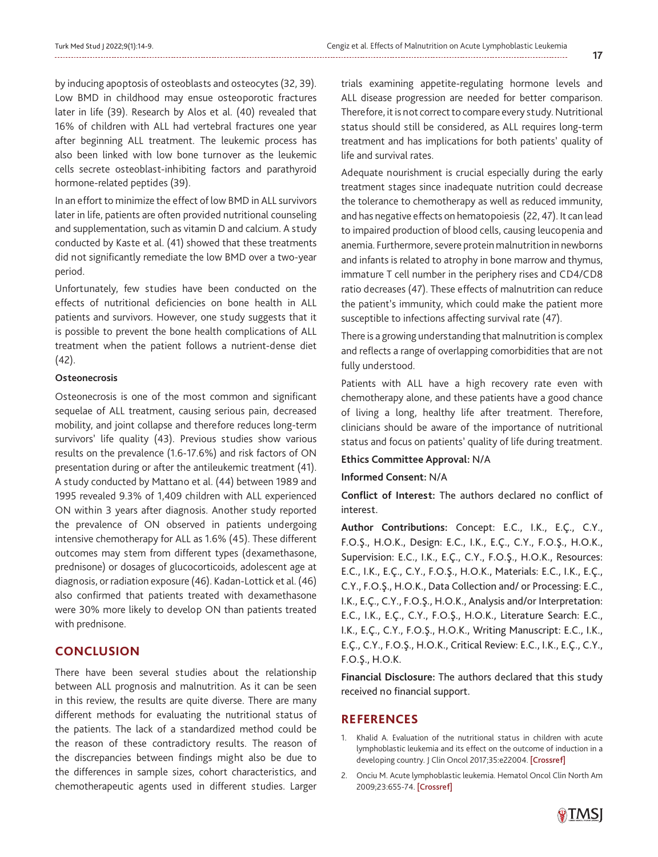by inducing apoptosis of osteoblasts and osteocytes (32, 39). Low BMD in childhood may ensue osteoporotic fractures later in life (39). Research by Alos et al. (40) revealed that 16% of children with ALL had vertebral fractures one year after beginning ALL treatment. The leukemic process has also been linked with low bone turnover as the leukemic cells secrete osteoblast-inhibiting factors and parathyroid hormone-related peptides (39).

In an effort to minimize the effect of low BMD in ALL survivors later in life, patients are often provided nutritional counseling and supplementation, such as vitamin D and calcium. A study conducted by Kaste et al. (41) showed that these treatments did not significantly remediate the low BMD over a two-year period.

Unfortunately, few studies have been conducted on the effects of nutritional deficiencies on bone health in ALL patients and survivors. However, one study suggests that it is possible to prevent the bone health complications of ALL treatment when the patient follows a nutrient-dense diet (42).

# **Osteonecrosis**

Osteonecrosis is one of the most common and significant sequelae of ALL treatment, causing serious pain, decreased mobility, and joint collapse and therefore reduces long-term survivors' life quality (43). Previous studies show various results on the prevalence (1.6-17.6%) and risk factors of ON presentation during or after the antileukemic treatment (41). A study conducted by Mattano et al. (44) between 1989 and 1995 revealed 9.3% of 1,409 children with ALL experienced ON within 3 years after diagnosis. Another study reported the prevalence of ON observed in patients undergoing intensive chemotherapy for ALL as 1.6% (45). These different outcomes may stem from different types (dexamethasone, prednisone) or dosages of glucocorticoids, adolescent age at diagnosis, or radiation exposure (46). Kadan-Lottick et al. (46) also confirmed that patients treated with dexamethasone were 30% more likely to develop ON than patients treated with prednisone.

# **CONCLUSION**

There have been several studies about the relationship between ALL prognosis and malnutrition. As it can be seen in this review, the results are quite diverse. There are many different methods for evaluating the nutritional status of the patients. The lack of a standardized method could be the reason of these contradictory results. The reason of the discrepancies between findings might also be due to the differences in sample sizes, cohort characteristics, and chemotherapeutic agents used in different studies. Larger

trials examining appetite-regulating hormone levels and ALL disease progression are needed for better comparison. Therefore, it is not correct to compare every study. Nutritional status should still be considered, as ALL requires long-term treatment and has implications for both patients' quality of life and survival rates.

Adequate nourishment is crucial especially during the early treatment stages since inadequate nutrition could decrease the tolerance to chemotherapy as well as reduced immunity, and has negative effects on hematopoiesis (22, 47). It can lead to impaired production of blood cells, causing leucopenia and anemia. Furthermore, severe protein malnutrition in newborns and infants is related to atrophy in bone marrow and thymus, immature T cell number in the periphery rises and CD4/CD8 ratio decreases (47). These effects of malnutrition can reduce the patient's immunity, which could make the patient more susceptible to infections affecting survival rate (47).

There is a growing understanding that malnutrition is complex and reflects a range of overlapping comorbidities that are not fully understood.

Patients with ALL have a high recovery rate even with chemotherapy alone, and these patients have a good chance of living a long, healthy life after treatment. Therefore, clinicians should be aware of the importance of nutritional status and focus on patients' quality of life during treatment.

### **Ethics Committee Approval:** N/A

#### **Informed Consent:** N/A

**Conflict of Interest:** The authors declared no conflict of interest.

**Author Contributions:** Concept: E.C., I.K., E.Ç., C.Y., F.O.Ş., H.O.K., Design: E.C., I.K., E.Ç., C.Y., F.O.Ş., H.O.K., Supervision: E.C., I.K., E.Ç., C.Y., F.O.Ş., H.O.K., Resources: E.C., I.K., E.Ç., C.Y., F.O.Ş., H.O.K., Materials: E.C., I.K., E.Ç., C.Y., F.O.Ş., H.O.K., Data Collection and/ or Processing: E.C., I.K., E.Ç., C.Y., F.O.Ş., H.O.K., Analysis and/or Interpretation: E.C., I.K., E.Ç., C.Y., F.O.Ş., H.O.K., Literature Search: E.C., I.K., E.Ç., C.Y., F.O.Ş., H.O.K., Writing Manuscript: E.C., I.K., E.Ç., C.Y., F.O.Ş., H.O.K., Critical Review: E.C., I.K., E.Ç., C.Y., F.O.Ş., H.O.K.

**Financial Disclosure:** The authors declared that this study received no financial support.

### **REFERENCES**

- 1. Khalid A. Evaluation of the nutritional status in children with acute lymphoblastic leukemia and its effect on the outcome of induction in a developing country. J Clin Oncol 2017;35:e22004. [\[Crossref\]](https://doi.org/10.1200/JCO.2017.35.15_suppl.e22004)
- 2. Onciu M. Acute lymphoblastic leukemia. Hematol Oncol Clin North Am 2009;23:655-74. [[Crossref\]](https://doi.org/10.1016/j.hoc.2009.04.009)

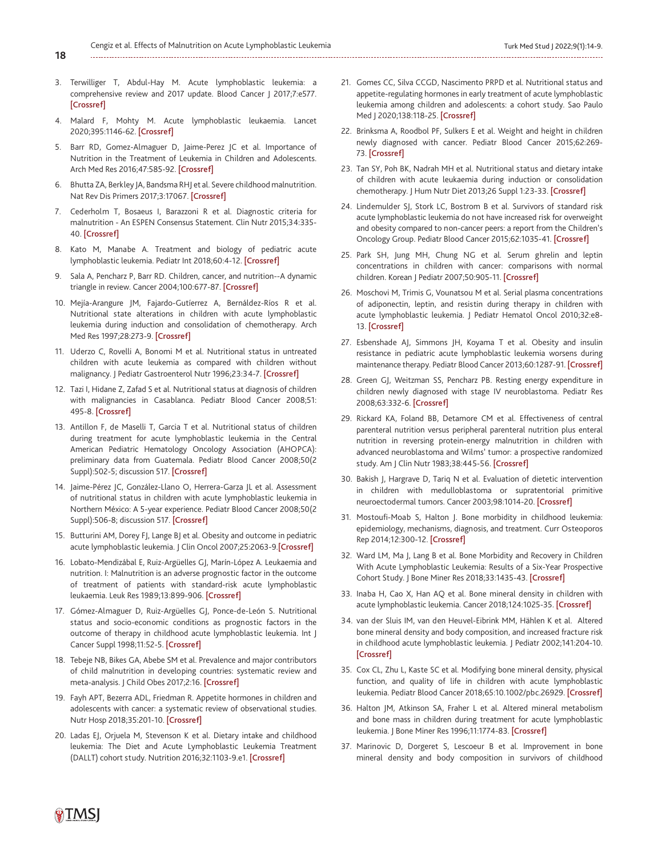- **18**
- 3. Terwilliger T, Abdul-Hay M. Acute lymphoblastic leukemia: a comprehensive review and 2017 update. Blood Cancer J 2017;7:e577. [[Crossref\]](https://doi.org/10.1038/bcj.2017.53)
- 4. Malard F, Mohty M. Acute lymphoblastic leukaemia. Lancet 2020;395:1146-62. [[Crossref\]](https://doi.org/10.1016/S0140-6736(19)33018-1)
- 5. Barr RD, Gomez-Almaguer D, Jaime-Perez JC et al. Importance of Nutrition in the Treatment of Leukemia in Children and Adolescents. Arch Med Res 2016;47:585-92. [[Crossref\]](https://doi.org/10.1016/j.arcmed.2016.11.013)
- 6. Bhutta ZA, Berkley JA, Bandsma RHJ et al. Severe childhood malnutrition. Nat Rev Dis Primers 2017;3:17067. [\[Crossref\]](https://doi.org/10.1038/nrdp.2017.67)
- 7. Cederholm T, Bosaeus I, Barazzoni R et al. Diagnostic criteria for malnutrition - An ESPEN Consensus Statement. Clin Nutr 2015;34:335- 40. [\[Crossref\]](https://doi.org/10.1016/j.clnu.2015.03.001)
- 8. Kato M, Manabe A. Treatment and biology of pediatric acute lymphoblastic leukemia. Pediatr Int 2018;60:4-12. [\[Crossref\]](https://doi.org/10.1111/ped.13457)
- 9. Sala A, Pencharz P, Barr RD. Children, cancer, and nutrition--A dynamic triangle in review. Cancer 2004;100:677-87. [\[Crossref\]](https://doi.org/10.1002/cncr.11833)
- 10. Mejía-Arangure JM, Fajardo-Gutíerrez A, Bernáldez-Ríos R et al. Nutritional state alterations in children with acute lymphoblastic leukemia during induction and consolidation of chemotherapy. Arch Med Res 1997;28:273-9. [[Crossref\]](https://pubmed.ncbi.nlm.nih.gov/9204621/)
- 11. Uderzo C, Rovelli A, Bonomi M et al. Nutritional status in untreated children with acute leukemia as compared with children without malignancy. J Pediatr Gastroenterol Nutr 1996;23:34-7. [\[Crossref\]](https://doi.org/10.1097/00005176-199607000-00007)
- 12. Tazi I, Hidane Z, Zafad S et al. Nutritional status at diagnosis of children with malignancies in Casablanca. Pediatr Blood Cancer 2008;51: 495-8. [[Crossref\]](https://doi.org/10.1002/pbc.21689)
- 13. Antillon F, de Maselli T, Garcia T et al. Nutritional status of children during treatment for acute lymphoblastic leukemia in the Central American Pediatric Hematology Oncology Association (AHOPCA): preliminary data from Guatemala. Pediatr Blood Cancer 2008;50(2 Suppl):502-5; discussion 517. [[Crossref\]](https://doi.org/10.1002/pbc.21398)
- 14. Jaime-Pérez JC, González-Llano O, Herrera-Garza JL et al. Assessment of nutritional status in children with acute lymphoblastic leukemia in Northern México: A 5-year experience. Pediatr Blood Cancer 2008;50(2 Suppl):506-8; discussion 517. [\[Crossref\]](https://doi.org/10.1002/pbc.21397)
- 15. Butturini AM, Dorey FJ, Lange BJ et al. Obesity and outcome in pediatric acute lymphoblastic leukemia. J Clin Oncol 2007;25:2063-9.[[Crossref\]](https://doi.org/10.1200/JCO.2006.07.7792)
- 16. Lobato-Mendizábal E, Ruiz-Argüelles GJ, Marín-López A. Leukaemia and nutrition. I: Malnutrition is an adverse prognostic factor in the outcome of treatment of patients with standard-risk acute lymphoblastic leukaemia. Leuk Res 1989;13:899-906. [[Crossref\]](https://doi.org/10.1016/0145-2126(89)90043-x)
- 17. Gómez-Almaguer D, Ruiz-Argüelles GJ, Ponce-de-León S. Nutritional status and socio-economic conditions as prognostic factors in the outcome of therapy in childhood acute lymphoblastic leukemia. Int J Cancer Suppl 1998;11:52-5. [\[Crossref\]](https://doi.org/10.1002/(SICI)1097-0215(1998)78:11+<52::AID-IJC15>3.0.CO;2-3)
- 18. Tebeje NB, Bikes GA, Abebe SM et al. Prevalence and major contributors of child malnutrition in developing countries: systematic review and meta-analysis. J Child Obes 2017;2:16. [\[Crossref\]](https://doi.org/10.21767/2572-5394.100037)
- 19. Fayh APT, Bezerra ADL, Friedman R. Appetite hormones in children and adolescents with cancer: a systematic review of observational studies. Nutr Hosp 2018;35:201-10. [\[Crossref\]](https://doi.org/10.20960/nh.1221)
- 20. Ladas EJ, Orjuela M, Stevenson K et al. Dietary intake and childhood leukemia: The Diet and Acute Lymphoblastic Leukemia Treatment (DALLT) cohort study. Nutrition 2016;32:1103-9.e1. [[Crossref\]](https://doi.org/10.1016/j.nut.2016.03.014)

21. Gomes CC, Silva CCGD, Nascimento PRPD et al. Nutritional status and appetite-regulating hormones in early treatment of acute lymphoblastic leukemia among children and adolescents: a cohort study. Sao Paulo Med J 2020;138:118-25. [[Crossref\]](https://doi.org/10.1590/1516-3180.2019.0307.r1.19112019)

- 22. Brinksma A, Roodbol PF, Sulkers E et al. Weight and height in children newly diagnosed with cancer. Pediatr Blood Cancer 2015;62:269- 73. [\[Crossref\]](https://doi.org/10.1002/pbc.25301)
- 23. Tan SY, Poh BK, Nadrah MH et al. Nutritional status and dietary intake of children with acute leukaemia during induction or consolidation chemotherapy. | Hum Nutr Diet 2013;26 Suppl 1:23-33. [\[Crossref\]](https://doi.org/10.1111/jhn.12074)
- 24. Lindemulder SJ, Stork LC, Bostrom B et al. Survivors of standard risk acute lymphoblastic leukemia do not have increased risk for overweight and obesity compared to non-cancer peers: a report from the Children's Oncology Group. Pediatr Blood Cancer 2015;62:1035-41. [\[Crossref\]](https://doi.org/10.1002/pbc.25411)
- 25. Park SH, Jung MH, Chung NG et al. Serum ghrelin and leptin concentrations in children with cancer: comparisons with normal children. Korean | Pediatr 2007;50:905-11. [[Crossref\]](https://www.koreascience.or.kr/article/JAKO200710103450525.pdf)
- 26. Moschovi M, Trimis G, Vounatsou M et al. Serial plasma concentrations of adiponectin, leptin, and resistin during therapy in children with acute lymphoblastic leukemia. J Pediatr Hematol Oncol 2010;32:e8- 13. [\[Crossref\]](https://doi.org/10.1097/MPH.0b013e3181b8a50c)
- 27. Esbenshade AJ, Simmons JH, Koyama T et al. Obesity and insulin resistance in pediatric acute lymphoblastic leukemia worsens during maintenance therapy. Pediatr Blood Cancer 2013;60:1287-91. [\[Crossref\]](https://doi.org/10.1002/pbc.24489)
- 28. Green GJ, Weitzman SS, Pencharz PB. Resting energy expenditure in children newly diagnosed with stage IV neuroblastoma. Pediatr Res 2008;63:332-6. [\[Crossref\]](https://doi.org/10.1203/PDR.0b013e318163a2d4)
- 29. Rickard KA, Foland BB, Detamore CM et al. Effectiveness of central parenteral nutrition versus peripheral parenteral nutrition plus enteral nutrition in reversing protein-energy malnutrition in children with advanced neuroblastoma and Wilms' tumor: a prospective randomized study. Am J Clin Nutr 1983;38:445-56. [\[Crossref\]](https://doi.org/10.1093/ajcn/38.3.445)
- 30. Bakish J, Hargrave D, Tariq N et al. Evaluation of dietetic intervention in children with medulloblastoma or supratentorial primitive neuroectodermal tumors. Cancer 2003;98:1014-20. [\[Crossref\]](https://doi.org/10.1002/cncr.11598)
- 31. Mostoufi-Moab S, Halton J. Bone morbidity in childhood leukemia: epidemiology, mechanisms, diagnosis, and treatment. Curr Osteoporos Rep 2014;12:300-12. [[Crossref\]](https://doi.org/10.1007/s11914-014-0222-3)
- 32. Ward LM, Ma J, Lang B et al. Bone Morbidity and Recovery in Children With Acute Lymphoblastic Leukemia: Results of a Six-Year Prospective Cohort Study. J Bone Miner Res 2018;33:1435-43. [\[Crossref\]](https://doi.org/10.1002/jbmr.3447)
- 33. Inaba H, Cao X, Han AQ et al. Bone mineral density in children with acute lymphoblastic leukemia. Cancer 2018;124:1025-35. [\[Crossref\]](https://doi.org/10.1002/cncr.31184)
- 34. van der Sluis IM, van den Heuvel-Eibrink MM, Hählen K et al. Altered bone mineral density and body composition, and increased fracture risk in childhood acute lymphoblastic leukemia. J Pediatr 2002;141:204-10. **[\[Crossref\]](https://doi.org/10.1067/mpd.2002.125728)**
- 35. Cox CL, Zhu L, Kaste SC et al. Modifying bone mineral density, physical function, and quality of life in children with acute lymphoblastic leukemia. Pediatr Blood Cancer 2018;65:10.1002/pbc.26929. [\[Crossref\]](https://doi.org/10.1002/pbc.26929)
- 36. Halton JM, Atkinson SA, Fraher L et al. Altered mineral metabolism and bone mass in children during treatment for acute lymphoblastic leukemia. J Bone Miner Res 1996;11:1774-83. [[Crossref\]](https://doi.org/10.1002/jbmr.5650111122)
- 37. Marinovic D, Dorgeret S, Lescoeur B et al. Improvement in bone mineral density and body composition in survivors of childhood